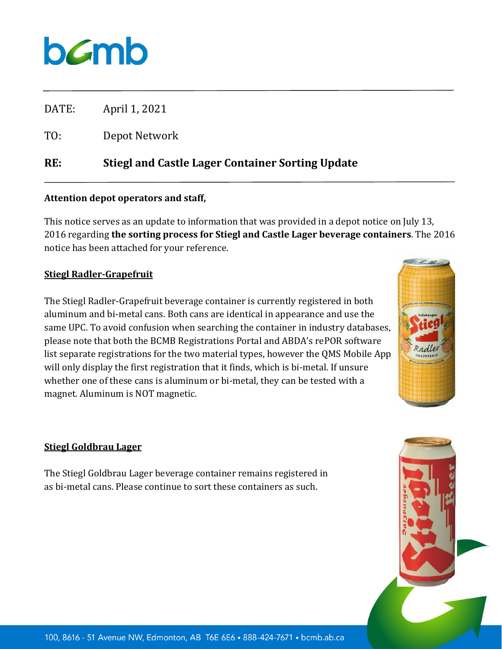## bamb

DATE: April 1, 2021

TO: Depot Network

**RE: Stiegl and Castle Lager Container Sorting Update**

## **Attention depot operators and staff,**

This notice serves as an update to information that was provided in a depot notice on July 13, 2016 regarding **the sorting process for Stiegl and Castle Lager beverage containers**. The 2016 notice has been attached for your reference.

## **Stiegl Radler-Grapefruit**

The Stiegl Radler-Grapefruit beverage container is currently registered in both aluminum and bi-metal cans. Both cans are identical in appearance and use the same UPC. To avoid confusion when searching the container in industry databases, please note that both the BCMB Registrations Portal and ABDA's rePOR software list separate registrations for the two material types, however the QMS Mobile App will only display the first registration that it finds, which is bi-metal. If unsure whether one of these cans is aluminum or bi-metal, they can be tested with a magnet. Aluminum is NOT magnetic.



## **Stiegl Goldbrau Lager**

The Stiegl Goldbrau Lager beverage container remains registered in as bi-metal cans. Please continue to sort these containers as such.

100, 8616 - 51 Avenue NW, Edmonton, AB T6E 6E6 . 888-424-7671 . bcmb.ab.ca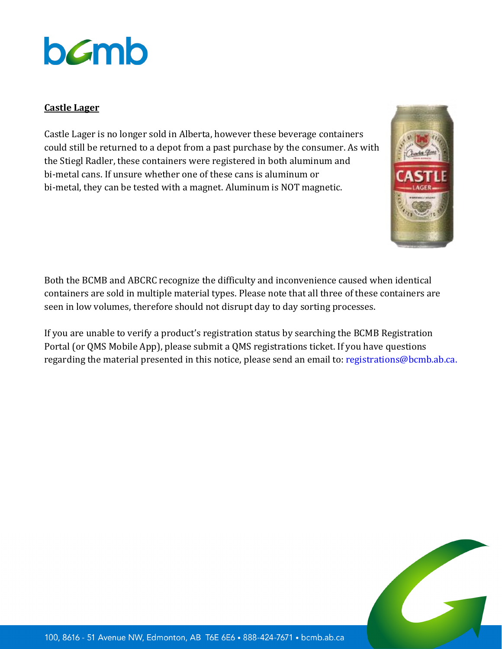# bamb

### **Castle Lager**

Castle Lager is no longer sold in Alberta, however these beverage containers could still be returned to a depot from a past purchase by the consumer. As with the Stiegl Radler, these containers were registered in both aluminum and bi-metal cans. If unsure whether one of these cans is aluminum or bi-metal, they can be tested with a magnet. Aluminum is NOT magnetic.



Both the BCMB and ABCRC recognize the difficulty and inconvenience caused when identical containers are sold in multiple material types. Please note that all three of these containers are seen in low volumes, therefore should not disrupt day to day sorting processes.

If you are unable to verify a product's registration status by searching the BCMB Registration Portal (or QMS Mobile App), please submit a QMS registrations ticket. If you have questions regarding the material presented in this notice, please send an email to: [registrations@bcmb.ab.ca.](mailto:registrations@bcmb.ab.ca)

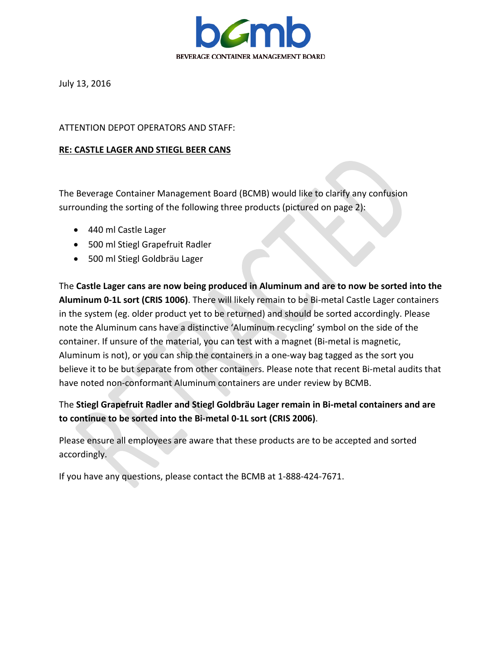

July 13, 2016

#### ATTENTION DEPOT OPERATORS AND STAFF:

#### **RE: CASTLE LAGER AND STIEGL BEER CANS**

The Beverage Container Management Board (BCMB) would like to clarify any confusion surrounding the sorting of the following three products (pictured on page 2):

- 440 ml Castle Lager
- 500 ml Stiegl Grapefruit Radler
- 500 ml Stiegl Goldbräu Lager

The **Castle Lager cans are now being produced in Aluminum and are to now be sorted into the Aluminum 0-1L sort (CRIS 1006)**. There will likely remain to be Bi-metal Castle Lager containers in the system (eg. older product yet to be returned) and should be sorted accordingly. Please note the Aluminum cans have a distinctive 'Aluminum recycling' symbol on the side of the container. If unsure of the material, you can test with a magnet (Bi-metal is magnetic, Aluminum is not), or you can ship the containers in a one-way bag tagged as the sort you believe it to be but separate from other containers. Please note that recent Bi-metal audits that have noted non-conformant Aluminum containers are under review by BCMB.

## The **Stiegl Grapefruit Radler and Stiegl Goldbräu Lager remain in Bi-metal containers and are to continue to be sorted into the Bi-metal 0-1L sort (CRIS 2006)**.

Please ensure all employees are aware that these products are to be accepted and sorted accordingly.

If you have any questions, please contact the BCMB at 1-888-424-7671.